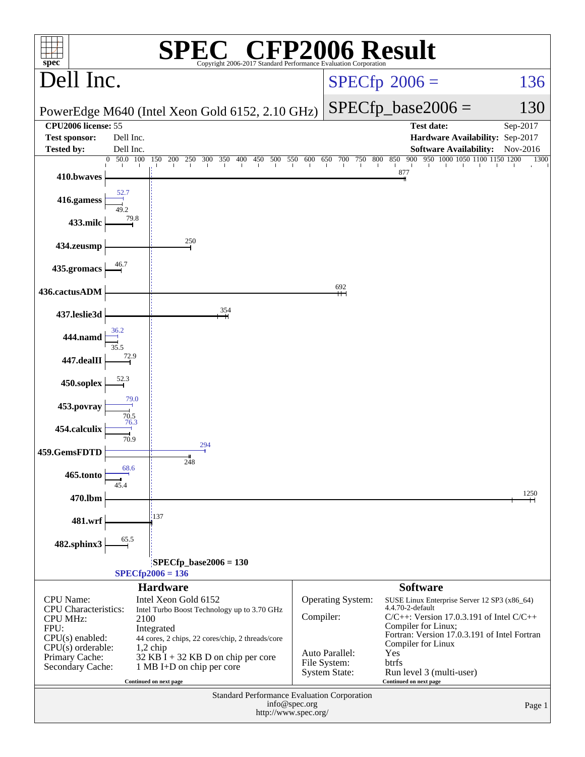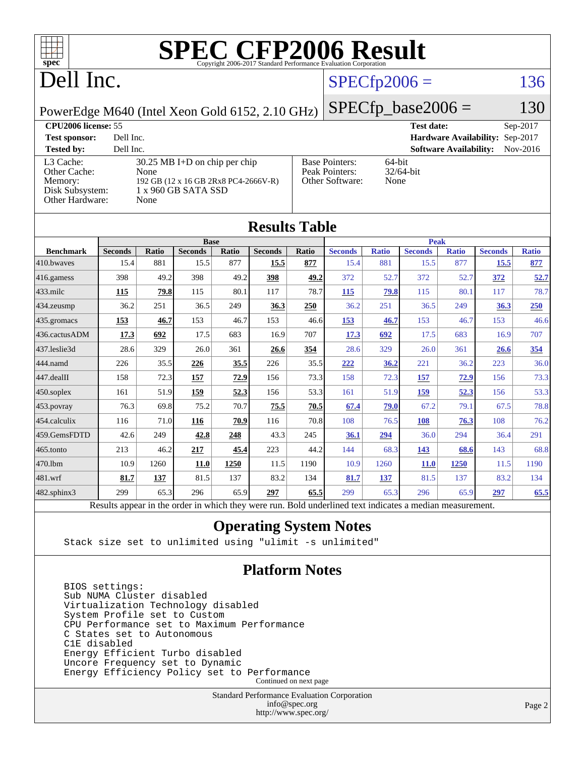

[Peak Pointers:](http://www.spec.org/auto/cpu2006/Docs/result-fields.html#PeakPointers)

[Other Software:](http://www.spec.org/auto/cpu2006/Docs/result-fields.html#OtherSoftware) None

## Dell Inc.

## $SPECfp2006 = 136$  $SPECfp2006 = 136$

PowerEdge M640 (Intel Xeon Gold 6152, 2.10 GHz)

[L3 Cache:](http://www.spec.org/auto/cpu2006/Docs/result-fields.html#L3Cache) 30.25 MB I+D on chip per chip<br>Other Cache: None

[Disk Subsystem:](http://www.spec.org/auto/cpu2006/Docs/result-fields.html#DiskSubsystem) 1 x 960 GB SATA SSD

[Memory:](http://www.spec.org/auto/cpu2006/Docs/result-fields.html#Memory) 192 GB (12 x 16 GB 2Rx8 PC4-2666V-R)

[Other Cache:](http://www.spec.org/auto/cpu2006/Docs/result-fields.html#OtherCache)

 $SPECfp\_base2006 = 130$ **[CPU2006 license:](http://www.spec.org/auto/cpu2006/Docs/result-fields.html#CPU2006license)** 55 **[Test date:](http://www.spec.org/auto/cpu2006/Docs/result-fields.html#Testdate)** Sep-2017 **[Test sponsor:](http://www.spec.org/auto/cpu2006/Docs/result-fields.html#Testsponsor)** Dell Inc. **[Hardware Availability:](http://www.spec.org/auto/cpu2006/Docs/result-fields.html#HardwareAvailability)** Sep-2017 **[Tested by:](http://www.spec.org/auto/cpu2006/Docs/result-fields.html#Testedby)** Dell Inc. **[Software Availability:](http://www.spec.org/auto/cpu2006/Docs/result-fields.html#SoftwareAvailability)** Nov-2016 [Base Pointers:](http://www.spec.org/auto/cpu2006/Docs/result-fields.html#BasePointers) 64-bit<br>Peak Pointers: 32/64-bit

| Other Hardware:  |                                                                                                          | None         |                |       |                      |       |                |              |                |              |                |              |
|------------------|----------------------------------------------------------------------------------------------------------|--------------|----------------|-------|----------------------|-------|----------------|--------------|----------------|--------------|----------------|--------------|
|                  |                                                                                                          |              |                |       | <b>Results Table</b> |       |                |              |                |              |                |              |
| <b>Base</b>      |                                                                                                          |              |                |       | <b>Peak</b>          |       |                |              |                |              |                |              |
| <b>Benchmark</b> | <b>Seconds</b>                                                                                           | <b>Ratio</b> | <b>Seconds</b> | Ratio | <b>Seconds</b>       | Ratio | <b>Seconds</b> | <b>Ratio</b> | <b>Seconds</b> | <b>Ratio</b> | <b>Seconds</b> | <b>Ratio</b> |
| 410.bwayes       | 15.4                                                                                                     | 881          | 15.5           | 877   | 15.5                 | 877   | 15.4           | 881          | 15.5           | 877          | 15.5           | 877          |
| 416.gamess       | 398                                                                                                      | 49.2         | 398            | 49.2  | 398                  | 49.2  | 372            | 52.7         | 372            | 52.7         | 372            | 52.7         |
| $433$ .milc      | 115                                                                                                      | 79.8         | 115            | 80.1  | 117                  | 78.7  | 115            | 79.8         | 115            | 80.1         | 117            | 78.7         |
| 434.zeusmp       | 36.2                                                                                                     | 251          | 36.5           | 249   | 36.3                 | 250   | 36.2           | 251          | 36.5           | 249          | 36.3           | 250          |
| 435.gromacs      | 153                                                                                                      | 46.7         | 153            | 46.7  | 153                  | 46.6  | 153            | 46.7         | 153            | 46.7         | 153            | 46.6         |
| 436.cactusADM    | 17.3                                                                                                     | 692          | 17.5           | 683   | 16.9                 | 707   | 17.3           | 692          | 17.5           | 683          | 16.9           | 707          |
| 437.leslie3d     | 28.6                                                                                                     | 329          | 26.0           | 361   | 26.6                 | 354   | 28.6           | 329          | 26.0           | 361          | 26.6           | 354          |
| 444.namd         | 226                                                                                                      | 35.5         | 226            | 35.5  | 226                  | 35.5  | 222            | 36.2         | 221            | 36.2         | 223            | 36.0         |
| 447.dealII       | 158                                                                                                      | 72.3         | 157            | 72.9  | 156                  | 73.3  | 158            | 72.3         | 157            | 72.9         | 156            | 73.3         |
| $450$ .soplex    | 161                                                                                                      | 51.9         | 159            | 52.3  | 156                  | 53.3  | 161            | 51.9         | 159            | 52.3         | 156            | 53.3         |
| 453.povray       | 76.3                                                                                                     | 69.8         | 75.2           | 70.7  | 75.5                 | 70.5  | 67.4           | 79.0         | 67.2           | 79.1         | 67.5           | 78.8         |
| 454.calculix     | 116                                                                                                      | 71.0         | 116            | 70.9  | 116                  | 70.8  | 108            | 76.5         | 108            | 76.3         | 108            | 76.2         |
| 459.GemsFDTD     | 42.6                                                                                                     | 249          | 42.8           | 248   | 43.3                 | 245   | 36.1           | 294          | 36.0           | 294          | 36.4           | 291          |
| 465.tonto        | 213                                                                                                      | 46.2         | 217            | 45.4  | 223                  | 44.2  | 144            | 68.3         | 143            | 68.6         | 143            | 68.8         |
| 470.1bm          | 10.9                                                                                                     | 1260         | 11.0           | 1250  | 11.5                 | 1190  | 10.9           | 1260         | <b>11.0</b>    | 1250         | 11.5           | 1190         |
| 481.wrf          | 81.7                                                                                                     | 137          | 81.5           | 137   | 83.2                 | 134   | 81.7           | 137          | 81.5           | 137          | 83.2           | 134          |
| 482.sphinx3      | 299                                                                                                      | 65.3         | 296            | 65.9  | 297                  | 65.5  | 299            | 65.3         | 296            | 65.9         | 297            | 65.5         |
|                  | Results appear in the order in which they were run. Bold underlined text indicates a median measurement. |              |                |       |                      |       |                |              |                |              |                |              |

### **[Operating System Notes](http://www.spec.org/auto/cpu2006/Docs/result-fields.html#OperatingSystemNotes)**

Stack size set to unlimited using "ulimit -s unlimited"

### **[Platform Notes](http://www.spec.org/auto/cpu2006/Docs/result-fields.html#PlatformNotes)**

 BIOS settings: Sub NUMA Cluster disabled Virtualization Technology disabled System Profile set to Custom CPU Performance set to Maximum Performance C States set to Autonomous C1E disabled Energy Efficient Turbo disabled Uncore Frequency set to Dynamic Energy Efficiency Policy set to Performance Continued on next page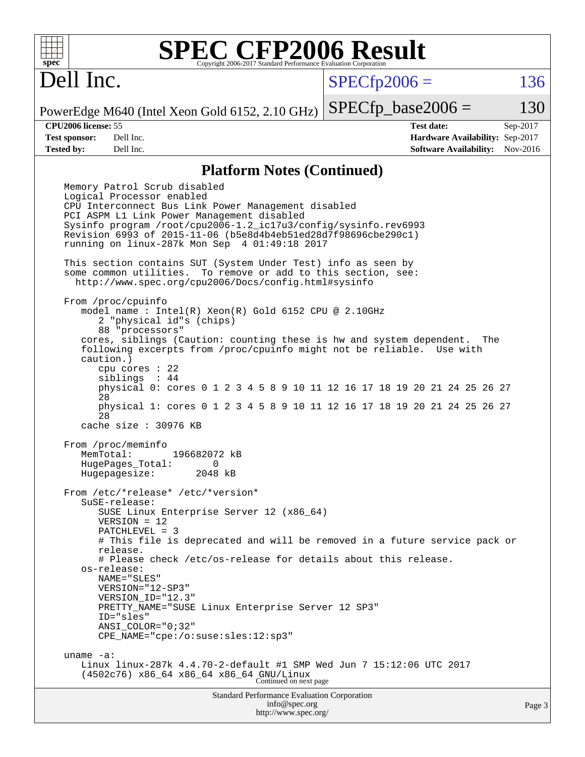

Dell Inc.

 $SPECTp2006 = 136$ 

PowerEdge M640 (Intel Xeon Gold 6152, 2.10 GHz)  $SPECTp\_base2006 = 130$ 

**[CPU2006 license:](http://www.spec.org/auto/cpu2006/Docs/result-fields.html#CPU2006license)** 55 **[Test date:](http://www.spec.org/auto/cpu2006/Docs/result-fields.html#Testdate)** Sep-2017 **[Test sponsor:](http://www.spec.org/auto/cpu2006/Docs/result-fields.html#Testsponsor)** Dell Inc. **[Hardware Availability:](http://www.spec.org/auto/cpu2006/Docs/result-fields.html#HardwareAvailability)** Sep-2017 **[Tested by:](http://www.spec.org/auto/cpu2006/Docs/result-fields.html#Testedby)** Dell Inc. **[Software Availability:](http://www.spec.org/auto/cpu2006/Docs/result-fields.html#SoftwareAvailability)** Nov-2016

### **[Platform Notes \(Continued\)](http://www.spec.org/auto/cpu2006/Docs/result-fields.html#PlatformNotes)**

Standard Performance Evaluation Corporation Memory Patrol Scrub disabled Logical Processor enabled CPU Interconnect Bus Link Power Management disabled PCI ASPM L1 Link Power Management disabled Sysinfo program /root/cpu2006-1.2\_ic17u3/config/sysinfo.rev6993 Revision 6993 of 2015-11-06 (b5e8d4b4eb51ed28d7f98696cbe290c1) running on linux-287k Mon Sep 4 01:49:18 2017 This section contains SUT (System Under Test) info as seen by some common utilities. To remove or add to this section, see: <http://www.spec.org/cpu2006/Docs/config.html#sysinfo> From /proc/cpuinfo model name : Intel(R) Xeon(R) Gold 6152 CPU @ 2.10GHz 2 "physical id"s (chips) 88 "processors" cores, siblings (Caution: counting these is hw and system dependent. The following excerpts from /proc/cpuinfo might not be reliable. Use with caution.) cpu cores : 22 siblings : 44 physical 0: cores 0 1 2 3 4 5 8 9 10 11 12 16 17 18 19 20 21 24 25 26 27 28 physical 1: cores 0 1 2 3 4 5 8 9 10 11 12 16 17 18 19 20 21 24 25 26 27 28 cache size : 30976 KB From /proc/meminfo<br>MemTotal: 196682072 kB HugePages\_Total: 0 Hugepagesize: 2048 kB From /etc/\*release\* /etc/\*version\* SuSE-release: SUSE Linux Enterprise Server 12 (x86\_64) VERSION = 12 PATCHLEVEL = 3 # This file is deprecated and will be removed in a future service pack or release. # Please check /etc/os-release for details about this release. os-release: NAME="SLES" VERSION="12-SP3" VERSION\_ID="12.3" PRETTY\_NAME="SUSE Linux Enterprise Server 12 SP3" ID="sles" ANSI\_COLOR="0;32" CPE\_NAME="cpe:/o:suse:sles:12:sp3" uname -a: Linux linux-287k 4.4.70-2-default #1 SMP Wed Jun 7 15:12:06 UTC 2017 (4502c76) x86\_64 x86\_64 x86\_64 GNU/Linux Continued on next page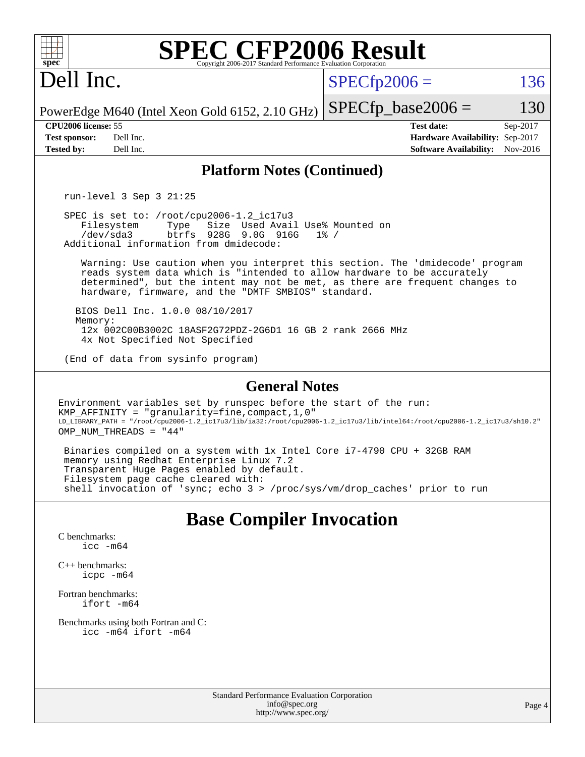| $spec^*$                                                         | <b>SPEC CFP2006 Result</b><br>Copyright 2006-2017 Standard Performance Evaluation Corporation                                                                                                                                                                                                   |                      |                                                                                       |                      |
|------------------------------------------------------------------|-------------------------------------------------------------------------------------------------------------------------------------------------------------------------------------------------------------------------------------------------------------------------------------------------|----------------------|---------------------------------------------------------------------------------------|----------------------|
| Dell Inc.                                                        |                                                                                                                                                                                                                                                                                                 | $SPECfp2006 =$       |                                                                                       | 136                  |
|                                                                  | PowerEdge M640 (Intel Xeon Gold 6152, 2.10 GHz)                                                                                                                                                                                                                                                 | $SPECfp\_base2006 =$ |                                                                                       | 130                  |
| CPU2006 license: 55<br><b>Test sponsor:</b><br><b>Tested by:</b> | Dell Inc.<br>Dell Inc.                                                                                                                                                                                                                                                                          |                      | <b>Test date:</b><br>Hardware Availability: Sep-2017<br><b>Software Availability:</b> | Sep-2017<br>Nov-2016 |
|                                                                  | <b>Platform Notes (Continued)</b>                                                                                                                                                                                                                                                               |                      |                                                                                       |                      |
|                                                                  | run-level $3$ Sep $3$ $21:25$                                                                                                                                                                                                                                                                   |                      |                                                                                       |                      |
|                                                                  | SPEC is set to: /root/cpu2006-1.2_ic17u3<br>Size Used Avail Use% Mounted on<br>Filesystem<br>Type<br>/dev/sda3<br>btrfs 928G 9.0G 916G<br>Additional information from dmidecode:                                                                                                                | $1\%$ /              |                                                                                       |                      |
|                                                                  | Warning: Use caution when you interpret this section. The 'dmidecode' program<br>reads system data which is "intended to allow hardware to be accurately<br>determined", but the intent may not be met, as there are frequent changes to<br>hardware, firmware, and the "DMTF SMBIOS" standard. |                      |                                                                                       |                      |
| Memory:                                                          | BIOS Dell Inc. 1.0.0 08/10/2017<br>12x 002C00B3002C 18ASF2G72PDZ-2G6D1 16 GB 2 rank 2666 MHz<br>4x Not Specified Not Specified                                                                                                                                                                  |                      |                                                                                       |                      |
|                                                                  | (End of data from sysinfo program)                                                                                                                                                                                                                                                              |                      |                                                                                       |                      |
|                                                                  | <b>General Notes</b>                                                                                                                                                                                                                                                                            |                      |                                                                                       |                      |
|                                                                  | Environment variables set by runspec before the start of the run:<br>KMP_AFFINITY = "granularity=fine, compact, 1, 0"<br>LD_LIBRARY_PATH = "/root/cpu2006-1.2_ic17u3/lib/ia32:/root/cpu2006-1.2_ic17u3/lib/intel64:/root/cpu2006-1.2_ic17u3/sh10.2"<br>OMP NUM THREADS = "44"                   |                      |                                                                                       |                      |
|                                                                  | Binaries compiled on a system with 1x Intel Core i7-4790 CPU + 32GB RAM<br>memory using Redhat Enterprise Linux 7.2<br>Transparent Huge Pages enabled by default.<br>Filesystem page cache cleared with:                                                                                        |                      |                                                                                       |                      |
|                                                                  | shell invocation of 'sync; echo 3 > /proc/sys/vm/drop_caches' prior to run                                                                                                                                                                                                                      |                      |                                                                                       |                      |
|                                                                  | <b>Base Compiler Invocation</b>                                                                                                                                                                                                                                                                 |                      |                                                                                       |                      |
| C benchmarks:                                                    | $\text{icc}$ -m64                                                                                                                                                                                                                                                                               |                      |                                                                                       |                      |
| $C_{++}$ benchmarks:                                             | $icpc$ $-m64$                                                                                                                                                                                                                                                                                   |                      |                                                                                       |                      |
| Fortran benchmarks:                                              | $ifort -m64$                                                                                                                                                                                                                                                                                    |                      |                                                                                       |                      |
|                                                                  | Benchmarks using both Fortran and C:<br>icc -m64 ifort -m64                                                                                                                                                                                                                                     |                      |                                                                                       |                      |
|                                                                  |                                                                                                                                                                                                                                                                                                 |                      |                                                                                       |                      |
|                                                                  |                                                                                                                                                                                                                                                                                                 |                      |                                                                                       |                      |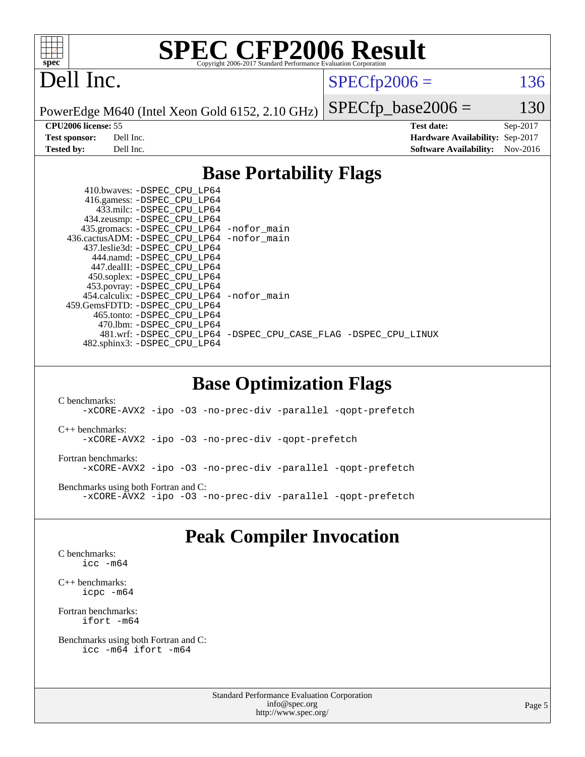

## Dell Inc.

 $SPECTp2006 = 136$ 

PowerEdge M640 (Intel Xeon Gold 6152, 2.10 GHz)

 $SPECfp\_base2006 = 130$ **[CPU2006 license:](http://www.spec.org/auto/cpu2006/Docs/result-fields.html#CPU2006license)** 55 **[Test date:](http://www.spec.org/auto/cpu2006/Docs/result-fields.html#Testdate)** Sep-2017 **[Test sponsor:](http://www.spec.org/auto/cpu2006/Docs/result-fields.html#Testsponsor)** Dell Inc. **[Hardware Availability:](http://www.spec.org/auto/cpu2006/Docs/result-fields.html#HardwareAvailability)** Sep-2017 **[Tested by:](http://www.spec.org/auto/cpu2006/Docs/result-fields.html#Testedby)** Dell Inc. **[Software Availability:](http://www.spec.org/auto/cpu2006/Docs/result-fields.html#SoftwareAvailability)** Nov-2016

### **[Base Portability Flags](http://www.spec.org/auto/cpu2006/Docs/result-fields.html#BasePortabilityFlags)**

| 410.bwaves: -DSPEC CPU LP64                  |                                                                |
|----------------------------------------------|----------------------------------------------------------------|
| 416.gamess: -DSPEC_CPU_LP64                  |                                                                |
| 433.milc: -DSPEC CPU LP64                    |                                                                |
| 434.zeusmp: - DSPEC_CPU_LP64                 |                                                                |
| 435.gromacs: -DSPEC_CPU_LP64 -nofor_main     |                                                                |
| 436.cactusADM: - DSPEC CPU LP64 - nofor main |                                                                |
| 437.leslie3d: -DSPEC CPU LP64                |                                                                |
| 444.namd: -DSPEC CPU LP64                    |                                                                |
| 447.dealII: -DSPEC CPU LP64                  |                                                                |
| 450.soplex: -DSPEC_CPU_LP64                  |                                                                |
| 453.povray: -DSPEC_CPU_LP64                  |                                                                |
| 454.calculix: - DSPEC CPU LP64 - nofor main  |                                                                |
| 459. GemsFDTD: - DSPEC CPU LP64              |                                                                |
| 465.tonto: - DSPEC CPU LP64                  |                                                                |
| 470.1bm: - DSPEC CPU LP64                    |                                                                |
|                                              | 481.wrf: -DSPEC CPU_LP64 -DSPEC_CPU_CASE_FLAG -DSPEC_CPU_LINUX |
| 482.sphinx3: -DSPEC_CPU_LP64                 |                                                                |
|                                              |                                                                |

### **[Base Optimization Flags](http://www.spec.org/auto/cpu2006/Docs/result-fields.html#BaseOptimizationFlags)**

[C benchmarks](http://www.spec.org/auto/cpu2006/Docs/result-fields.html#Cbenchmarks): [-xCORE-AVX2](http://www.spec.org/cpu2006/results/res2017q4/cpu2006-20170918-49895.flags.html#user_CCbase_f-xCORE-AVX2) [-ipo](http://www.spec.org/cpu2006/results/res2017q4/cpu2006-20170918-49895.flags.html#user_CCbase_f-ipo) [-O3](http://www.spec.org/cpu2006/results/res2017q4/cpu2006-20170918-49895.flags.html#user_CCbase_f-O3) [-no-prec-div](http://www.spec.org/cpu2006/results/res2017q4/cpu2006-20170918-49895.flags.html#user_CCbase_f-no-prec-div) [-parallel](http://www.spec.org/cpu2006/results/res2017q4/cpu2006-20170918-49895.flags.html#user_CCbase_f-parallel) [-qopt-prefetch](http://www.spec.org/cpu2006/results/res2017q4/cpu2006-20170918-49895.flags.html#user_CCbase_f-qopt-prefetch) [C++ benchmarks:](http://www.spec.org/auto/cpu2006/Docs/result-fields.html#CXXbenchmarks) [-xCORE-AVX2](http://www.spec.org/cpu2006/results/res2017q4/cpu2006-20170918-49895.flags.html#user_CXXbase_f-xCORE-AVX2) [-ipo](http://www.spec.org/cpu2006/results/res2017q4/cpu2006-20170918-49895.flags.html#user_CXXbase_f-ipo) [-O3](http://www.spec.org/cpu2006/results/res2017q4/cpu2006-20170918-49895.flags.html#user_CXXbase_f-O3) [-no-prec-div](http://www.spec.org/cpu2006/results/res2017q4/cpu2006-20170918-49895.flags.html#user_CXXbase_f-no-prec-div) [-qopt-prefetch](http://www.spec.org/cpu2006/results/res2017q4/cpu2006-20170918-49895.flags.html#user_CXXbase_f-qopt-prefetch) [Fortran benchmarks](http://www.spec.org/auto/cpu2006/Docs/result-fields.html#Fortranbenchmarks): [-xCORE-AVX2](http://www.spec.org/cpu2006/results/res2017q4/cpu2006-20170918-49895.flags.html#user_FCbase_f-xCORE-AVX2) [-ipo](http://www.spec.org/cpu2006/results/res2017q4/cpu2006-20170918-49895.flags.html#user_FCbase_f-ipo) [-O3](http://www.spec.org/cpu2006/results/res2017q4/cpu2006-20170918-49895.flags.html#user_FCbase_f-O3) [-no-prec-div](http://www.spec.org/cpu2006/results/res2017q4/cpu2006-20170918-49895.flags.html#user_FCbase_f-no-prec-div) [-parallel](http://www.spec.org/cpu2006/results/res2017q4/cpu2006-20170918-49895.flags.html#user_FCbase_f-parallel) [-qopt-prefetch](http://www.spec.org/cpu2006/results/res2017q4/cpu2006-20170918-49895.flags.html#user_FCbase_f-qopt-prefetch) [Benchmarks using both Fortran and C](http://www.spec.org/auto/cpu2006/Docs/result-fields.html#BenchmarksusingbothFortranandC): [-xCORE-AVX2](http://www.spec.org/cpu2006/results/res2017q4/cpu2006-20170918-49895.flags.html#user_CC_FCbase_f-xCORE-AVX2) [-ipo](http://www.spec.org/cpu2006/results/res2017q4/cpu2006-20170918-49895.flags.html#user_CC_FCbase_f-ipo) [-O3](http://www.spec.org/cpu2006/results/res2017q4/cpu2006-20170918-49895.flags.html#user_CC_FCbase_f-O3) [-no-prec-div](http://www.spec.org/cpu2006/results/res2017q4/cpu2006-20170918-49895.flags.html#user_CC_FCbase_f-no-prec-div) [-parallel](http://www.spec.org/cpu2006/results/res2017q4/cpu2006-20170918-49895.flags.html#user_CC_FCbase_f-parallel) [-qopt-prefetch](http://www.spec.org/cpu2006/results/res2017q4/cpu2006-20170918-49895.flags.html#user_CC_FCbase_f-qopt-prefetch)

## **[Peak Compiler Invocation](http://www.spec.org/auto/cpu2006/Docs/result-fields.html#PeakCompilerInvocation)**

[C benchmarks](http://www.spec.org/auto/cpu2006/Docs/result-fields.html#Cbenchmarks): [icc -m64](http://www.spec.org/cpu2006/results/res2017q4/cpu2006-20170918-49895.flags.html#user_CCpeak_intel_icc_64bit_bda6cc9af1fdbb0edc3795bac97ada53)

[C++ benchmarks:](http://www.spec.org/auto/cpu2006/Docs/result-fields.html#CXXbenchmarks) [icpc -m64](http://www.spec.org/cpu2006/results/res2017q4/cpu2006-20170918-49895.flags.html#user_CXXpeak_intel_icpc_64bit_fc66a5337ce925472a5c54ad6a0de310)

[Fortran benchmarks](http://www.spec.org/auto/cpu2006/Docs/result-fields.html#Fortranbenchmarks): [ifort -m64](http://www.spec.org/cpu2006/results/res2017q4/cpu2006-20170918-49895.flags.html#user_FCpeak_intel_ifort_64bit_ee9d0fb25645d0210d97eb0527dcc06e)

[Benchmarks using both Fortran and C](http://www.spec.org/auto/cpu2006/Docs/result-fields.html#BenchmarksusingbothFortranandC): [icc -m64](http://www.spec.org/cpu2006/results/res2017q4/cpu2006-20170918-49895.flags.html#user_CC_FCpeak_intel_icc_64bit_bda6cc9af1fdbb0edc3795bac97ada53) [ifort -m64](http://www.spec.org/cpu2006/results/res2017q4/cpu2006-20170918-49895.flags.html#user_CC_FCpeak_intel_ifort_64bit_ee9d0fb25645d0210d97eb0527dcc06e)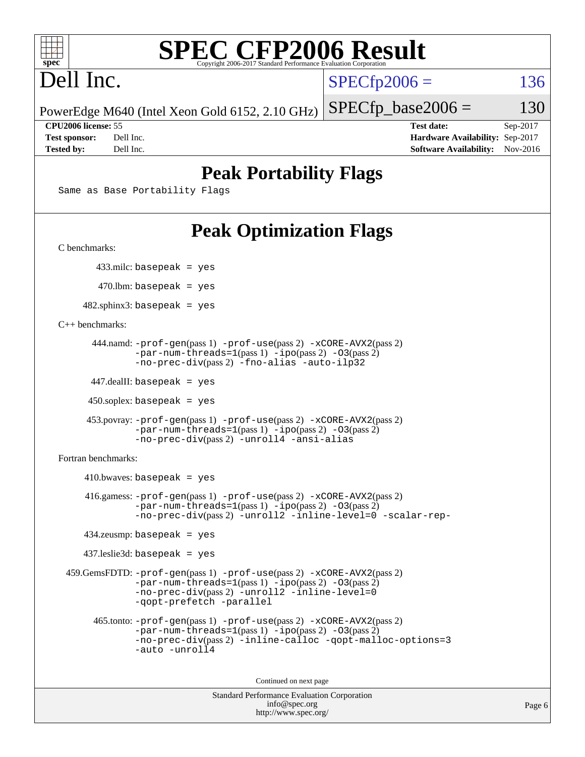

# Dell Inc.

 $SPECTp2006 = 136$ 

PowerEdge M640 (Intel Xeon Gold 6152, 2.10 GHz)

**[CPU2006 license:](http://www.spec.org/auto/cpu2006/Docs/result-fields.html#CPU2006license)** 55 **[Test date:](http://www.spec.org/auto/cpu2006/Docs/result-fields.html#Testdate)** Sep-2017 **[Test sponsor:](http://www.spec.org/auto/cpu2006/Docs/result-fields.html#Testsponsor)** Dell Inc. **[Hardware Availability:](http://www.spec.org/auto/cpu2006/Docs/result-fields.html#HardwareAvailability)** Sep-2017 **[Tested by:](http://www.spec.org/auto/cpu2006/Docs/result-fields.html#Testedby)** Dell Inc. **[Software Availability:](http://www.spec.org/auto/cpu2006/Docs/result-fields.html#SoftwareAvailability)** Nov-2016

 $SPECTp\_base2006 = 130$ 

## **[Peak Portability Flags](http://www.spec.org/auto/cpu2006/Docs/result-fields.html#PeakPortabilityFlags)**

Same as Base Portability Flags

# **[Peak Optimization Flags](http://www.spec.org/auto/cpu2006/Docs/result-fields.html#PeakOptimizationFlags)**

[C benchmarks](http://www.spec.org/auto/cpu2006/Docs/result-fields.html#Cbenchmarks):

433.milc: basepeak = yes

470.lbm: basepeak = yes

 $482$ .sphinx3: basepeak = yes

[C++ benchmarks:](http://www.spec.org/auto/cpu2006/Docs/result-fields.html#CXXbenchmarks)

```
 444.namd: -prof-gen(pass 1) -prof-use(pass 2) -xCORE-AVX2(pass 2)
      -par-num-threads=1-ipo-O3(pass 2)-no-prec-div(pass 2) -fno-alias -auto-ilp32
```
447.dealII: basepeak = yes

 $450$ .soplex: basepeak = yes

```
 453.povray: -prof-gen(pass 1) -prof-use(pass 2) -xCORE-AVX2(pass 2)
        -par-num-threads=1-ipo-O3(pass 2)-no-prec-div(pass 2) -unroll4 -ansi-alias
```
[Fortran benchmarks](http://www.spec.org/auto/cpu2006/Docs/result-fields.html#Fortranbenchmarks):

```
410.bwaves: basepeak = yes 416.gamess: -prof-gen(pass 1) -prof-use(pass 2) -xCORE-AVX2(pass 2)
            -par-num-threads=1-ipo-O3(pass 2)-no-prec-div(pass 2) -unroll2 -inline-level=0 -scalar-rep-
   434.zeusmp: basepeak = yes
   437.leslie3d: basepeak = yes
459.GemsFDTD: -prof-gen(pass 1) -prof-use(pass 2) -xCORE-AVX2(pass 2)
            -par-num-threads=1(pass 1) -ipo(pass 2) -O3(pass 2)
            -no-prec-div(pass 2) -unroll2 -inline-level=0
            -qopt-prefetch -parallel
     465.tonto: -prof-gen(pass 1) -prof-use(pass 2) -xCORE-AVX2(pass 2)
            -par-num-threads=1(pass 1) -ipo(pass 2) -O3(pass 2)
            -no-prec-div-inline-calloc-qopt-malloc-options=3
            -auto -unroll4
```
Continued on next page

```
Standard Performance Evaluation Corporation
            info@spec.org
          http://www.spec.org/
```